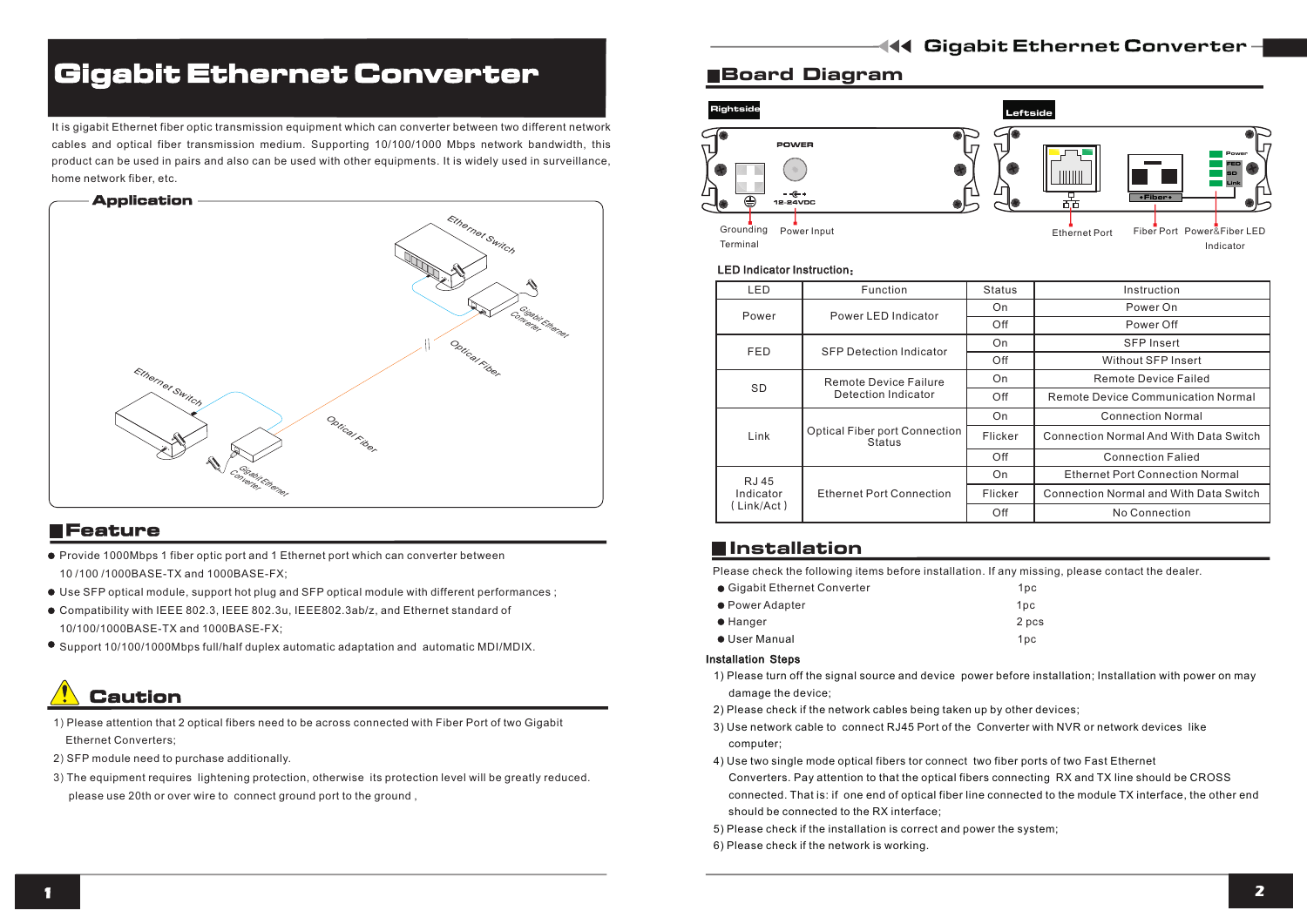# Gigabit Ethernet Converter

It is gigabit Ethernet fiber optic transmission equipment which can converter between two different network cables and optical fiber transmission medium. Supporting 10/100/1000 Mbps network bandwidth, this product can be used in pairs and also can be used with other equipments. It is widely used in surveillance, home network fiber, etc.



### **EFeature**

- Provide 1000Mbps 1 fiber optic port and 1 Ethernet port which can converter between 10 /100 /1000BASE-TX and 1000BASE-FX;
- Use SFP optical module, support hot plug and SFP optical module with different performances ;
- Compatibility with IEEE 802.3, IEEE 802.3u, IEEE802.3ab/z, and Ethernet standard of 10/100/1000BASE-TX and 1000BASE-FX;
- Support 10/100/1000Mbps full/half duplex automatic adaptation and automatic MDI/MDIX.

# Caution

- 1) Please attention that 2 optical fibers need to be across connected with Fiber Port of two Gigabit Ethernet Converters;
- 2) SFP module need to purchase additionally.
- 3) The equipment requires lightening protection, otherwise its protection level will be greatly reduced. please use 20th or over wire to connect ground port to the ground ,

### Board Diagram



#### LED Indicator Instruction:

| LED                               | Function                                              | <b>Status</b> | Instruction                                   |
|-----------------------------------|-------------------------------------------------------|---------------|-----------------------------------------------|
| Power                             | Power LED Indicator                                   | On            | Power On                                      |
|                                   |                                                       | Off           | Power Off                                     |
| <b>FED</b>                        | <b>SFP Detection Indicator</b>                        | On            | <b>SFP</b> Insert                             |
|                                   |                                                       | Off           | Without SFP Insert                            |
| <b>SD</b>                         | Remote Device Failure<br>Detection Indicator          | On            | Remote Device Failed                          |
|                                   |                                                       | Off           | Remote Device Communication Normal            |
| Link                              | <b>Optical Fiber port Connection</b><br><b>Status</b> | On            | <b>Connection Normal</b>                      |
|                                   |                                                       | Flicker       | <b>Connection Normal And With Data Switch</b> |
|                                   |                                                       | Off           | <b>Connection Falled</b>                      |
| RJ 45<br>Indicator<br>(Link/Act ) | <b>Ethernet Port Connection</b>                       | On            | <b>Ethernet Port Connection Normal</b>        |
|                                   |                                                       | Flicker       | <b>Connection Normal and With Data Switch</b> |
|                                   |                                                       | Off           | No Connection                                 |

## **Installation**

Please check the following items before installation. If any missing, please contact the dealer.

| ● Gigabit Ethernet Converter | 1 <sub>DC</sub> |
|------------------------------|-----------------|
| • Power Adapter              | 1 <sub>DC</sub> |
| $\bullet$ Hanger             | 2 pcs           |
| ● User Manual                | 1 <sub>pc</sub> |

### Installation Steps

- 1) Please turn off the signal source and device power before installation; Installation with power on may damage the device;
- 2) Please check if the network cables being taken up by other devices;
- 3) Use network cable to connect RJ45 Port of the Converter with NVR or network devices like computer;
- 4) Use two single mode optical fibers tor connect two fiber ports of two Fast Ethernet
- Converters. Pay attention to that the optical fibers connecting RX and TX line should be CROSS connected. That is: if one end of optical fiber line connected to the module TX interface, the other end should be connected to the RX interface;
- 5) Please check if the installation is correct and power the system;
- 6) Please check if the network is working.